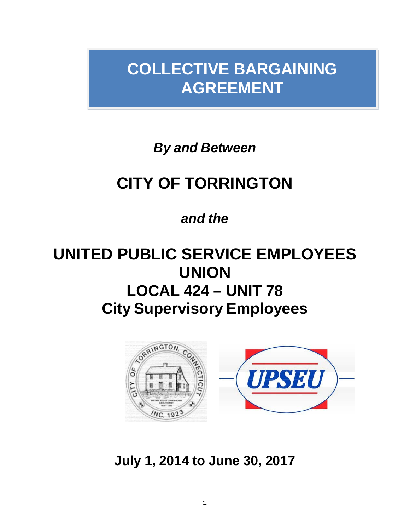# **COLLECTIVE BARGAINING AGREEMENT**

*By and Between*

# **CITY OF TORRINGTON**

# *and the*

# **UNITED PUBLIC SERVICE EMPLOYEES UNION LOCAL 424 – UNIT 78 City Supervisory Employees**



**July 1, 2014 to June 30, 2017**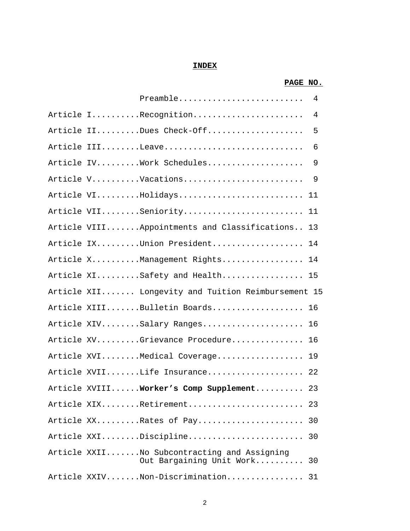# **INDEX**

# **PAGE NO.**

|  | Preamble 4                                                              |     |
|--|-------------------------------------------------------------------------|-----|
|  | Article IRecognition                                                    | 4   |
|  | Article IIDues Check-Off                                                | 5   |
|  |                                                                         | - 6 |
|  | Article IVWork Schedules 9                                              |     |
|  | Article VVacations                                                      | - 9 |
|  | Article VIHolidays 11                                                   |     |
|  | Article VIISeniority 11                                                 |     |
|  | Article VIIIAppointments and Classifications                            | 13  |
|  | Article IXUnion President 14                                            |     |
|  | Article XManagement Rights 14                                           |     |
|  | Article XISafety and Health 15                                          |     |
|  | Article XII Longevity and Tuition Reimbursement 15                      |     |
|  | Article XIIIBulletin Boards 16                                          |     |
|  | Article XIVSalary Ranges 16                                             |     |
|  | Article XVGrievance Procedure 16                                        |     |
|  | Article XVIMedical Coverage 19                                          |     |
|  | Article XVIILife Insurance 22                                           |     |
|  | Article XVIIIWorker's Comp Supplement 23                                |     |
|  | Article XIXRetirement                                                   | -23 |
|  | Article XXRates of Pay                                                  | 30  |
|  | Article XXIDiscipline                                                   | 30  |
|  | Article XXIINo Subcontracting and Assigning<br>Out Bargaining Unit Work | 30  |
|  | Article XXIVNon-Discrimination                                          | 31  |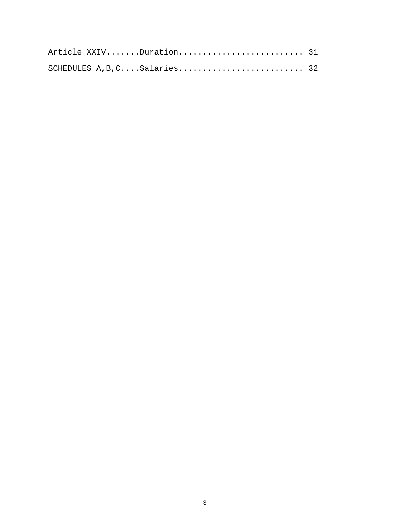|  | Article XXIVDuration 31       |  |
|--|-------------------------------|--|
|  | SCHEDULES A, B, C Salaries 32 |  |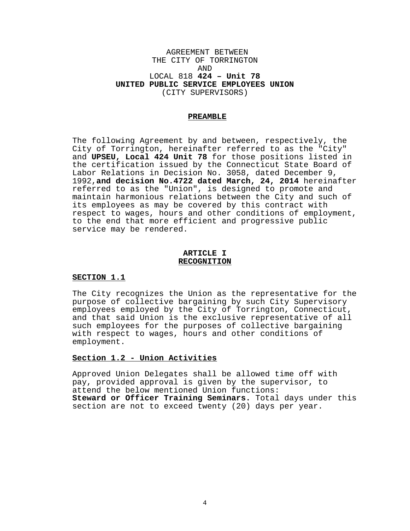### AGREEMENT BETWEEN THE CITY OF TORRINGTON AND LOCAL 818 **424 – Unit 78 UNITED PUBLIC SERVICE EMPLOYEES UNION** (CITY SUPERVISORS)

#### **PREAMBLE**

The following Agreement by and between, respectively, the City of Torrington, hereinafter referred to as the "City" and **UPSEU, Local 424 Unit 78** for those positions listed in the certification issued by the Connecticut State Board of Labor Relations in Decision No. 3058, dated December 9, 1992,**and decision No.4722 dated March, 24, 2014** hereinafter referred to as the "Union", is designed to promote and maintain harmonious relations between the City and such of its employees as may be covered by this contract with<br>respect to wages, hours and other conditions of employment, to the end that more efficient and progressive public service may be rendered.

#### **ARTICLE I RECOGNITION**

#### **SECTION 1.1**

The City recognizes the Union as the representative for the purpose of collective bargaining by such City Supervisory employees employed by the City of Torrington, Connecticut, and that said Union is the exclusive representative of all such employees for the purposes of collective bargaining with respect to wages, hours and other conditions of employment.

#### **Section 1.2 - Union Activities**

Approved Union Delegates shall be allowed time off with pay, provided approval is given by the supervisor, to attend the below mentioned Union functions: **Steward or Officer Training Seminars.** Total days under this section are not to exceed twenty (20) days per year.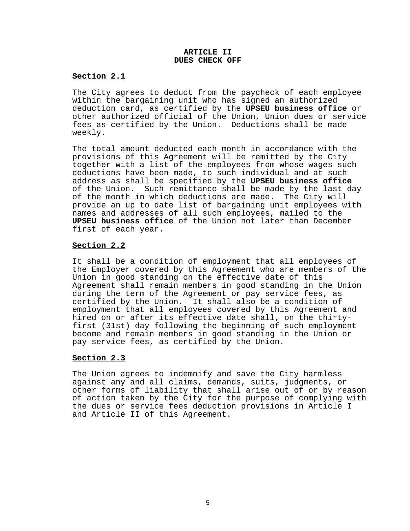#### **ARTICLE II DUES CHECK OFF**

### **Section 2.1**

The City agrees to deduct from the paycheck of each employee within the bargaining unit who has signed an authorized deduction card, as certified by the **UPSEU business office** or other authorized official of the Union, Union dues or service fees as certified by the Union. Deductions shall be made weekly.

The total amount deducted each month in accordance with the provisions of this Agreement will be remitted by the City together with a list of the employees from whose wages such deductions have been made, to such individual and at such address as shall be specified by the **UPSEU business office** of the Union. Such remittance shall be made by the last day of the month in which deductions are made. The City will provide an up to date list of bargaining unit employees with names and addresses of all such employees, mailed to the **UPSEU business office** of the Union not later than December first of each year.

# **Section 2.2**

It shall be a condition of employment that all employees of the Employer covered by this Agreement who are members of the Union in good standing on the effective date of this Agreement shall remain members in good standing in the Union during the term of the Agreement or pay service fees, as certified by the Union. It shall also be a condition of employment that all employees covered by this Agreement and<br>hired on or after its effective date shall, on the thirtyfirst (31st) day following the beginning of such employment become and remain members in good standing in the Union or pay service fees, as certified by the Union.

### **Section 2.3**

The Union agrees to indemnify and save the City harmless against any and all claims, demands, suits, judgments, or other forms of liability that shall arise out of or by reason of action taken by the City for the purpose of complying with the dues or service fees deduction provisions in Article I and Article II of this Agreement.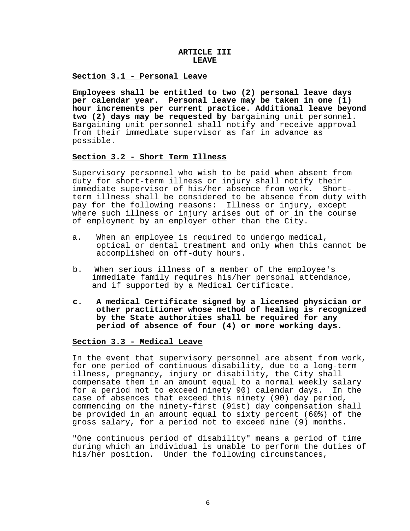# **ARTICLE III** *LEAVE*

#### **Section 3.1 - Personal Leave**

**Employees shall be entitled to two (2) personal leave days per calendar year. Personal leave may be taken in one (1) hour increments per current practice. Additional leave beyond two (2) days may be requested by** bargaining unit personnel. Bargaining unit personnel shall notify and receive approval from their immediate supervisor as far in advance as possible.

#### **Section 3.2 - Short Term Illness**

Supervisory personnel who wish to be paid when absent from duty for short-term illness or injury shall notify their<br>immediate supervisor of his/her absence from work. Shortterm illness shall be considered to be absence from duty with pay for the following reasons: Illness or injury, except where such illness or injury arises out of or in the course of employment by an employer other than the City.

- a. When an employee is required to undergo medical, optical or dental treatment and only when this cannot be accomplished on off-duty hours.
- b. When serious illness of a member of the employee's immediate family requires his/her personal attendance, and if supported by a Medical Certificate.
- **c. A medical Certificate signed by a licensed physician or other practitioner whose method of healing is recognized by the State authorities shall be required for any period of absence of four (4) or more working days.**

#### **Section 3.3 - Medical Leave**

In the event that supervisory personnel are absent from work, for one period of continuous disability, due to a long-term illness, pregnancy, injury or disability, the City shall compensate them in an amount equal to a normal weekly salary for a period not to exceed ninety 90) calendar days. In the case of absences that exceed this ninety (90) day period, commencing on the ninety-first (91st) day compensation shall be provided in an amount equal to sixty percent (60%) of the gross salary, for a period not to exceed nine (9) months.

"One continuous period of disability" means a period of time during which an individual is unable to perform the duties of his/her position. Under the following circumstances,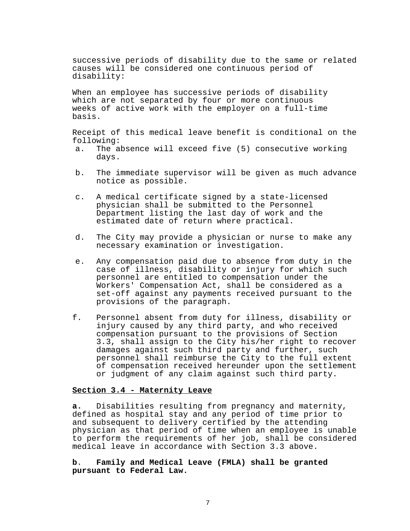successive periods of disability due to the same or related causes will be considered one continuous period of disability:

When an employee has successive periods of disability which are not separated by four or more continuous weeks of active work with the employer on a full-time basis.

Receipt of this medical leave benefit is conditional on the following:<br>a. The a

- The absence will exceed five (5) consecutive working days.
- b. The immediate supervisor will be given as much advance notice as possible.
- c. A medical certificate signed by a state-licensed physician shall be submitted to the Personnel Department listing the last day of work and the estimated date of return where practical.
- d. The City may provide a physician or nurse to make any necessary examination or investigation.
- e. Any compensation paid due to absence from duty in the case of illness, disability or injury for which such personnel are entitled to compensation under the Workers' Compensation Act, shall be considered as a set-off against any payments received pursuant to the provisions of the paragraph.
- f. Personnel absent from duty for illness, disability or injury caused by any third party, and who received compensation pursuant to the provisions of Section 3.3, shall assign to the City his/her right to recover damages against such third party and further, such personnel shall reimburse the City to the full extent of compensation received hereunder upon the settlement or judgment of any claim against such third party.

#### **Section 3.4 - Maternity Leave**

**a.** Disabilities resulting from pregnancy and maternity, defined as hospital stay and any period of time prior to and subsequent to delivery certified by the attending physician as that period of time when an employee is unable to perform the requirements of her job, shall be considered medical leave in accordance with Section 3.3 above.

**b**. **Family and Medical Leave (FMLA) shall be granted pursuant to Federal Law.**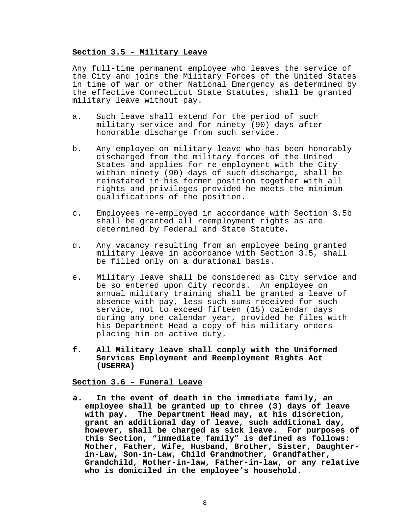#### **Section 3.5 - Military Leave**

Any full-time permanent employee who leaves the service of the City and joins the Military Forces of the United States in time of war or other National Emergency as determined by the effective Connecticut State Statutes, shall be granted military leave without pay.

- a. Such leave shall extend for the period of such military service and for ninety (90) days after honorable discharge from such service.
- b. Any employee on military leave who has been honorably discharged from the military forces of the United States and applies for re-employment with the City within ninety (90) days of such discharge, shall be reinstated in his former position together with all rights and privileges provided he meets the minimum qualifications of the position.
- c. Employees re-employed in accordance with Section 3.5b shall be granted all reemployment rights as are determined by Federal and State Statute.
- d. Any vacancy resulting from an employee being granted military leave in accordance with Section 3.5, shall be filled only on a durational basis.
- e. Military leave shall be considered as City service and be so entered upon City records. An employee on annual military training shall be granted a leave of absence with pay, less such sums received for such service, not to exceed fifteen (15) calendar days during any one calendar year, provided he files with his Department Head a copy of his military orders placing him on active duty.
- **f. All Military leave shall comply with the Uniformed Services Employment and Reemployment Rights Act (USERRA)**

# **Section 3.6 – Funeral Leave**

**a. In the event of death in the immediate family, an employee shall be granted up to three (3) days of leave with pay. The Department Head may, at his discretion, grant an additional day of leave, such additional day, however, shall be charged as sick leave. For purposes of this Section, "immediate family" is defined as follows: Mother, Father, Wife, Husband, Brother, Sister, Daughterin-Law, Son-in-Law, Child Grandmother, Grandfather, Grandchild, Mother-in-law, Father-in-law, or any relative who is domiciled in the employee's household.**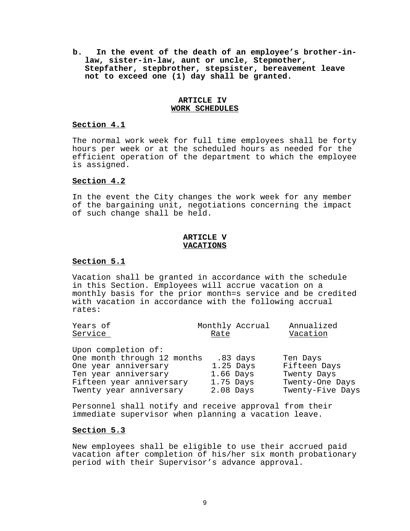**b. In the event of the death of an employee's brother-inlaw, sister-in-law, aunt or uncle, Stepmother, Stepfather, stepbrother, stepsister, bereavement leave not to exceed one (1) day shall be granted.**

#### **ARTICLE IV WORK SCHEDULES**

#### **Section 4.1**

The normal work week for full time employees shall be forty hours per week or at the scheduled hours as needed for the efficient operation of the department to which the employee is assigned.

# **Section 4.2**

In the event the City changes the work week for any member of the bargaining unit, negotiations concerning the impact of such change shall be held.

#### **ARTICLE V VACATIONS**

### **Section 5.1**

Vacation shall be granted in accordance with the schedule in this Section. Employees will accrue vacation on a monthly basis for the prior month=s service and be credited with vacation in accordance with the following accrual rates:

| Years of<br>Service                                                                                                                                       | Rate                                    | Monthly Accrual           | Annualized<br>Vacation                                                         |
|-----------------------------------------------------------------------------------------------------------------------------------------------------------|-----------------------------------------|---------------------------|--------------------------------------------------------------------------------|
| Upon completion of:<br>One month through 12 months<br>One year anniversary<br>Ten year anniversary<br>Fifteen year anniversary<br>Twenty year anniversary | $1.66$ Days<br>$1.75$ Days<br>2.08 Days | $.83$ days<br>$1.25$ Days | Ten Days<br>Fifteen Days<br>Twenty Days<br>Twenty-One Days<br>Twenty-Five Days |

Personnel shall notify and receive approval from their immediate supervisor when planning a vacation leave.

# **Section 5.3**

New employees shall be eligible to use their accrued paid vacation after completion of his/her six month probationary period with their Supervisor's advance approval.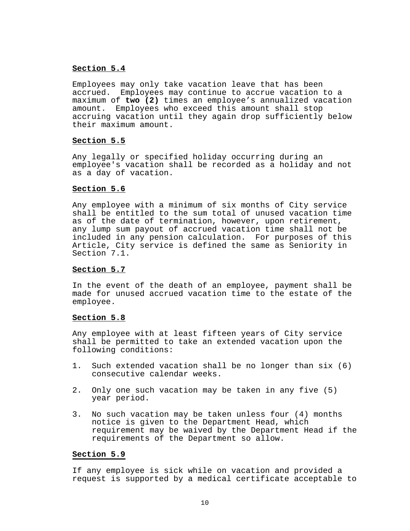# **Section 5.4**

Employees may only take vacation leave that has been accrued. Employees may continue to accrue vacation to a maximum of **two (2)** times an employee's annualized vacation amount. Employees who exceed this amount shall stop accruing vacation until they again drop sufficiently below their maximum amount.

#### **Section 5.5**

Any legally or specified holiday occurring during an employee's vacation shall be recorded as a holiday and not as a day of vacation.

#### **Section 5.6**

Any employee with a minimum of six months of City service shall be entitled to the sum total of unused vacation time as of the date of termination, however, upon retirement, any lump sum payout of accrued vacation time shall not be included in any pension calculation. For purposes of this Article, City service is defined the same as Seniority in Section 7.1.

#### **Section 5.7**

In the event of the death of an employee, payment shall be made for unused accrued vacation time to the estate of the employee.

#### **Section 5.8**

Any employee with at least fifteen years of City service shall be permitted to take an extended vacation upon the following conditions:

- 1. Such extended vacation shall be no longer than six (6) consecutive calendar weeks.
- 2. Only one such vacation may be taken in any five (5) year period.
- 3. No such vacation may be taken unless four (4) months notice is given to the Department Head, which requirement may be waived by the Department Head if the requirements of the Department so allow.

#### **Section 5.9**

If any employee is sick while on vacation and provided a request is supported by a medical certificate acceptable to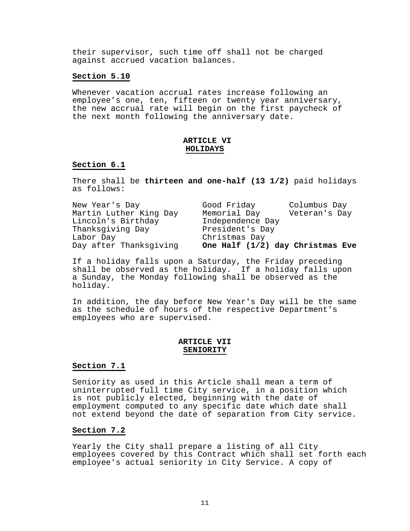their supervisor, such time off shall not be charged against accrued vacation balances.

#### **Section 5.10**

Whenever vacation accrual rates increase following an employee's one, ten, fifteen or twenty year anniversary, the new accrual rate will begin on the first paycheck of the next month following the anniversary date.

#### **ARTICLE VI HOLIDAYS**

#### **Section 6.1**

There shall be **thirteen and one-half (13 1/2)** paid holidays as follows:

| New Year's Day         | Good Friday                      | Columbus Day  |
|------------------------|----------------------------------|---------------|
| Martin Luther King Day | Memorial Day                     | Veteran's Day |
| Lincoln's Birthday     | Independence Day                 |               |
| Thanksgiving Day       | President's Day                  |               |
| Labor Day              | Christmas Day                    |               |
| Day after Thanksqiving | One Half (1/2) day Christmas Eve |               |

If a holiday falls upon a Saturday, the Friday preceding shall be observed as the holiday. If a holiday falls upon a Sunday, the Monday following shall be observed as the holiday.

In addition, the day before New Year's Day will be the same as the schedule of hours of the respective Department's employees who are supervised.

#### **ARTICLE VII SENIORITY**

#### **Section 7.1**

Seniority as used in this Article shall mean a term of uninterrupted full time City service, in a position which is not publicly elected, beginning with the date of employment computed to any specific date which date shall not extend beyond the date of separation from City service.

#### **Section 7.2**

 Yearly the City shall prepare a listing of all City employees covered by this Contract which shall set forth each employee's actual seniority in City Service. A copy of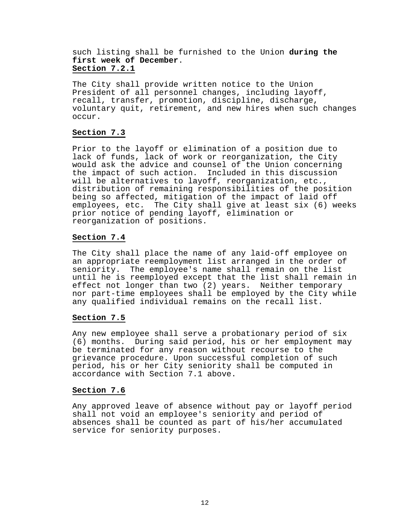# such listing shall be furnished to the Union **during the first week of December**. **Section 7.2.1**

The City shall provide written notice to the Union President of all personnel changes, including layoff, recall, transfer, promotion, discipline, discharge, voluntary quit, retirement, and new hires when such changes occur.

# **Section 7.3**

Prior to the layoff or elimination of a position due to lack of funds, lack of work or reorganization, the City would ask the advice and counsel of the Union concerning the impact of such action. Included in this discussion will be alternatives to layoff, reorganization, etc., distribution of remaining responsibilities of the position being so affected, mitigation of the impact of laid off employees, etc. The City shall give at least six (6) weeks prior notice of pending layoff, elimination or reorganization of positions.

# **Section 7.4**

The City shall place the name of any laid-off employee on an appropriate reemployment list arranged in the order of seniority. The employee's name shall remain on the list until he is reemployed except that the list shall remain in effect not longer than two (2) years. Neither temporary nor part-time employees shall be employed by the City while any qualified individual remains on the recall list.

# **Section 7.5**

Any new employee shall serve a probationary period of six (6) months. During said period, his or her employment may be terminated for any reason without recourse to the grievance procedure. Upon successful completion of such period, his or her City seniority shall be computed in accordance with Section 7.1 above.

# **Section 7.6**

 Any approved leave of absence without pay or layoff period shall not void an employee's seniority and period of absences shall be counted as part of his/her accumulated service for seniority purposes.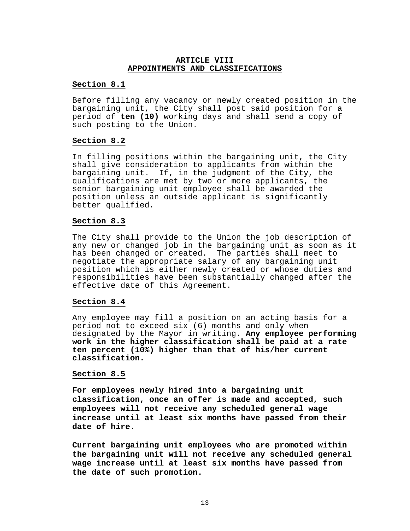#### **ARTICLE VIII APPOINTMENTS AND CLASSIFICATIONS**

#### **Section 8.1**

Before filling any vacancy or newly created position in the bargaining unit, the City shall post said position for a period of **ten (10)** working days and shall send a copy of such posting to the Union.

#### **Section 8.2**

In filling positions within the bargaining unit, the City shall give consideration to applicants from within the bargaining unit. If, in the judgment of the City, the qualifications are met by two or more applicants, the senior bargaining unit employee shall be awarded the position unless an outside applicant is significantly better qualified.

#### **Section 8.3**

The City shall provide to the Union the job description of any new or changed job in the bargaining unit as soon as it has been changed or created. The parties shall meet to negotiate the appropriate salary of any bargaining unit position which is either newly created or whose duties and responsibilities have been substantially changed after the effective date of this Agreement.

#### **Section 8.4**

Any employee may fill a position on an acting basis for a period not to exceed six (6) months and only when designated by the Mayor in writing. **Any employee performing work in the higher classification shall be paid at a rate ten percent (10%) higher than that of his/her current classification.**

#### **Section 8.5**

**For employees newly hired into a bargaining unit classification, once an offer is made and accepted, such employees will not receive any scheduled general wage increase until at least six months have passed from their date of hire.**

**Current bargaining unit employees who are promoted within the bargaining unit will not receive any scheduled general wage increase until at least six months have passed from the date of such promotion.**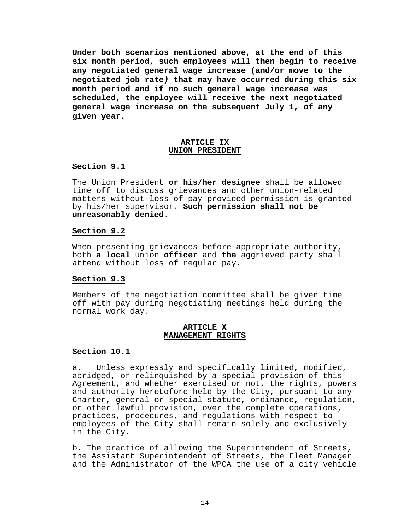**Under both scenarios mentioned above, at the end of this six month period, such employees will then begin to receive any negotiated general wage increase (and/or move to the negotiated job rate***)* **that may have occurred during this six month period and if no such general wage increase was scheduled, the employee will receive the next negotiated general wage increase on the subsequent July 1, of any given year.**

#### **ARTICLE IX UNION PRESIDENT**

#### **Section 9.1**

The Union President **or his/her designee** shall be allowed time off to discuss grievances and other union-related matters without loss of pay provided permission is granted by his/her supervisor. **Such permission shall not be unreasonably denied.**

# **Section 9.2**

When presenting grievances before appropriate authority, both **a local** union **officer** and **the** aggrieved party shall attend without loss of regular pay.

# **Section 9.3**

Members of the negotiation committee shall be given time off with pay during negotiating meetings held during the normal work day.

#### **ARTICLE X MANAGEMENT RIGHTS**

#### **Section 10.1**

a. Unless expressly and specifically limited, modified, abridged, or relinquished by a special provision of this Agreement, and whether exercised or not, the rights, powers and authority heretofore held by the City, pursuant to any Charter, general or special statute, ordinance, regulation, or other lawful provision, over the complete operations, practices, procedures, and regulations with respect to employees of the City shall remain solely and exclusively in the City.

b. The practice of allowing the Superintendent of Streets, the Assistant Superintendent of Streets, the Fleet Manager and the Administrator of the WPCA the use of a city vehicle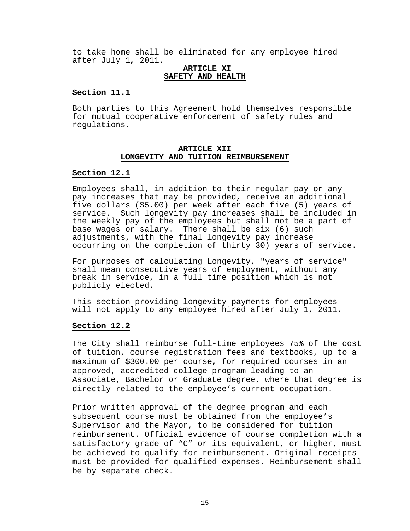to take home shall be eliminated for any employee hired after July 1, 2011.

#### **ARTICLE XI SAFETY AND HEALTH**

#### **Section 11.1**

Both parties to this Agreement hold themselves responsible for mutual cooperative enforcement of safety rules and regulations.

#### **ARTICLE XII LONGEVITY AND TUITION REIMBURSEMENT**

#### **Section 12.1**

Employees shall, in addition to their regular pay or any pay increases that may be provided, receive an additional five dollars (\$5.00) per week after each five (5) years of service. Such longevity pay increases shall be included in the weekly pay of the employees but shall not be a part of base wages or salary. There shall be six (6) such adjustments, with the final longevity pay increase occurring on the completion of thirty 30) years of service.

For purposes of calculating Longevity, "years of service" shall mean consecutive years of employment, without any break in service, in a full time position which is not publicly elected.

This section providing longevity payments for employees will not apply to any employee hired after July 1, 2011.

#### **Section 12.2**

The City shall reimburse full-time employees 75% of the cost of tuition, course registration fees and textbooks, up to a maximum of \$300.00 per course, for required courses in an approved, accredited college program leading to an Associate, Bachelor or Graduate degree, where that degree is directly related to the employee's current occupation.

Prior written approval of the degree program and each subsequent course must be obtained from the employee's Supervisor and the Mayor, to be considered for tuition reimbursement. Official evidence of course completion with a satisfactory grade of "C" or its equivalent, or higher, must be achieved to qualify for reimbursement. Original receipts must be provided for qualified expenses. Reimbursement shall be by separate check.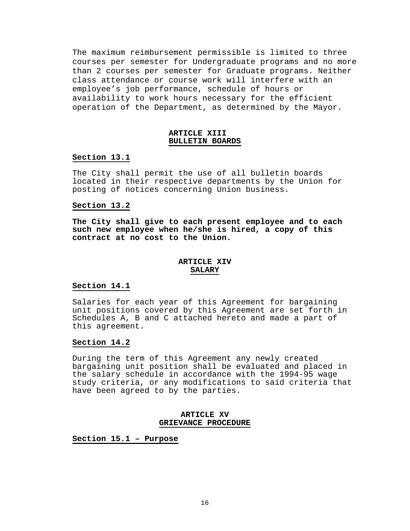The maximum reimbursement permissible is limited to three courses per semester for Undergraduate programs and no more than 2 courses per semester for Graduate programs. Neither class attendance or course work will interfere with an employee's job performance, schedule of hours or availability to work hours necessary for the efficient operation of the Department, as determined by the Mayor.

#### **ARTICLE XIII BULLETIN BOARDS**

#### **Section 13.1**

The City shall permit the use of all bulletin boards located in their respective departments by the Union for posting of notices concerning Union business.

#### **Section 13.2**

**The City shall give to each present employee and to each such new employee when he/she is hired, a copy of this contract at no cost to the Union.**

# **ARTICLE XIV SALARY**

#### **Section 14.1**

Salaries for each year of this Agreement for bargaining unit positions covered by this Agreement are set forth in Schedules A, B and C attached hereto and made a part of this agreement.

# **Section 14.2**

During the term of this Agreement any newly created bargaining unit position shall be evaluated and placed in the salary schedule in accordance with the 1994-95 wage study criteria, or any modifications to said criteria that have been agreed to by the parties.

#### **ARTICLE XV GRIEVANCE PROCEDURE**

**Section 15.1 – Purpose**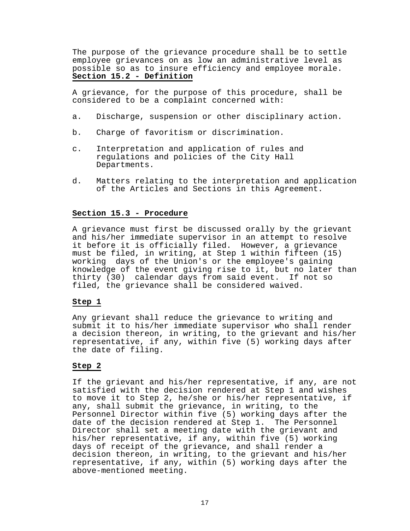The purpose of the grievance procedure shall be to settle employee grievances on as low an administrative level as possible so as to insure efficiency and employee morale. **Section 15.2 - Definition**

A grievance, for the purpose of this procedure, shall be considered to be a complaint concerned with:

- a. Discharge, suspension or other disciplinary action.
- b. Charge of favoritism or discrimination.
- c. Interpretation and application of rules and regulations and policies of the City Hall Departments.
- d. Matters relating to the interpretation and application of the Articles and Sections in this Agreement.

#### **Section 15.3 - Procedure**

A grievance must first be discussed orally by the grievant and his/her immediate supervisor in an attempt to resolve it before it is officially filed. However, a grievance must be filed, in writing, at Step 1 within fifteen (15) working days of the Union's or the employee's gaining knowledge of the event giving rise to it, but no later than thirty (30) calendar days from said event. If not so filed, the grievance shall be considered waived.

#### **Step 1**

Any grievant shall reduce the grievance to writing and submit it to his/her immediate supervisor who shall render a decision thereon, in writing, to the grievant and his/her representative, if any, within five (5) working days after the date of filing.

#### **Step 2**

If the grievant and his/her representative, if any, are not satisfied with the decision rendered at Step 1 and wishes to move it to Step 2, he/she or his/her representative, if any, shall submit the grievance, in writing, to the Personnel Director within five (5) working days after the date of the decision rendered at Step 1. The Personnel Director shall set a meeting date with the grievant and his/her representative, if any, within five (5) working days of receipt of the grievance, and shall render a decision thereon, in writing, to the grievant and his/her representative, if any, within (5) working days after the above-mentioned meeting.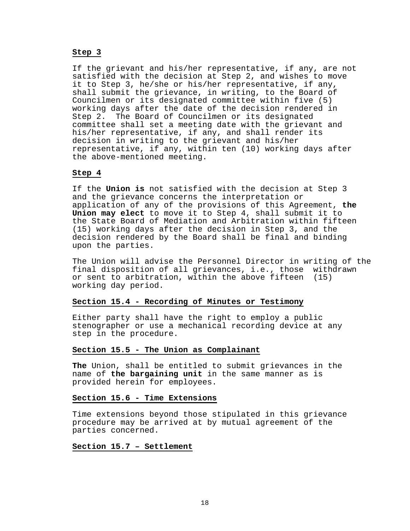#### **Step 3**

If the grievant and his/her representative, if any, are not satisfied with the decision at Step 2, and wishes to move it to Step 3, he/she or his/her representative, if any, shall submit the grievance, in writing, to the Board of Councilmen or its designated committee within five (5) working days after the date of the decision rendered in Step 2. The Board of Councilmen or its designated committee shall set a meeting date with the grievant and his/her representative, if any, and shall render its decision in writing to the grievant and his/her representative, if any, within ten (10) working days after the above-mentioned meeting.

#### **Step 4**

If the **Union is** not satisfied with the decision at Step 3 and the grievance concerns the interpretation or application of any of the provisions of this Agreement, **the Union may elect** to move it to Step 4, shall submit it to the State Board of Mediation and Arbitration within fifteen (15) working days after the decision in Step 3, and the decision rendered by the Board shall be final and binding upon the parties.

The Union will advise the Personnel Director in writing of the final disposition of all grievances, i.e., those withdrawn or sent to arbitration, within the above fifteen (15) working day period.

# **Section 15.4 - Recording of Minutes or Testimony**

Either party shall have the right to employ a public stenographer or use a mechanical recording device at any step in the procedure.

#### **Section 15.5 - The Union as Complainant**

**The** Union, shall be entitled to submit grievances in the name of **the bargaining unit** in the same manner as is provided herein for employees.

#### **Section 15.6 - Time Extensions**

Time extensions beyond those stipulated in this grievance procedure may be arrived at by mutual agreement of the parties concerned.

#### **Section 15.7 – Settlement**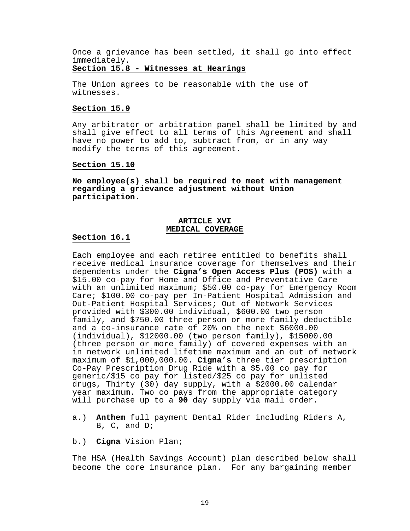Once a grievance has been settled, it shall go into effect immediately.

#### **Section 15.8 - Witnesses at Hearings**

The Union agrees to be reasonable with the use of witnesses.

#### **Section 15.9**

Any arbitrator or arbitration panel shall be limited by and shall give effect to all terms of this Agreement and shall have no power to add to, subtract from, or in any way modify the terms of this agreement.

#### **Section 15.10**

**No employee(s) shall be required to meet with management regarding a grievance adjustment without Union participation.**

# **ARTICLE XVI MEDICAL COVERAGE**

#### **Section 16.1**

Each employee and each retiree entitled to benefits shall receive medical insurance coverage for themselves and their dependents under the **Cigna's Open Access Plus (POS)** with a \$15.00 co-pay for Home and Office and Preventative Care with an unlimited maximum; \$50.00 co-pay for Emergency Room Care; \$100.00 co-pay per In-Patient Hospital Admission and Out-Patient Hospital Services; Out of Network Services provided with \$300.00 individual, \$600.00 two person family, and \$750.00 three person or more family deductible and a co-insurance rate of 20% on the next \$6000.00 (individual), \$12000.00 (two person family), \$15000.00 (three person or more family) of covered expenses with an in network unlimited lifetime maximum and an out of network maximum of \$1,000,000.00. **Cigna's** three tier prescription Co-Pay Prescription Drug Ride with a \$5.00 co pay for generic/\$15 co pay for listed/\$25 co pay for unlisted drugs, Thirty (30) day supply, with a \$2000.00 calendar year maximum. Two co pays from the appropriate category will purchase up to a **90** day supply via mail order.

- a.) **Anthem** full payment Dental Rider including Riders A, B, C, and D;
- b.) **Cigna** Vision Plan;

The HSA (Health Savings Account) plan described below shall become the core insurance plan. For any bargaining member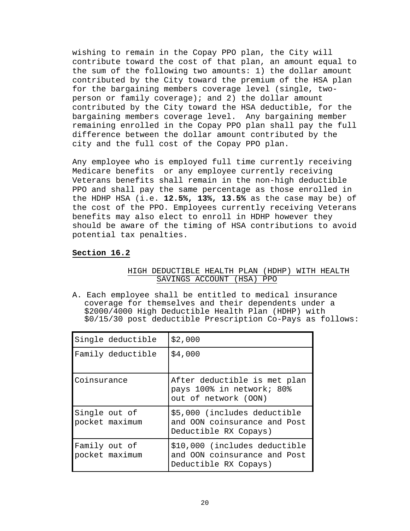wishing to remain in the Copay PPO plan, the City will contribute toward the cost of that plan, an amount equal to the sum of the following two amounts: 1) the dollar amount contributed by the City toward the premium of the HSA plan for the bargaining members coverage level (single, twoperson or family coverage); and 2) the dollar amount contributed by the City toward the HSA deductible, for the bargaining members coverage level. Any bargaining member remaining enrolled in the Copay PPO plan shall pay the full difference between the dollar amount contributed by the city and the full cost of the Copay PPO plan.

Any employee who is employed full time currently receiving Medicare benefits or any employee currently receiving Veterans benefits shall remain in the non-high deductible PPO and shall pay the same percentage as those enrolled in the HDHP HSA (i.e. **12.5%, 13%, 13.5%** as the case may be) of the cost of the PPO. Employees currently receiving Veterans benefits may also elect to enroll in HDHP however they should be aware of the timing of HSA contributions to avoid potential tax penalties.

# **Section 16.2**

# HIGH DEDUCTIBLE HEALTH PLAN (HDHP) WITH HEALTH SAVINGS ACCOUNT (HSA) PPO

A. Each employee shall be entitled to medical insurance coverage for themselves and their dependents under a \$2000/4000 High Deductible Health Plan (HDHP) with \$0/15/30 post deductible Prescription Co-Pays as follows:

| Single deductible               | \$2,000                                                                                |
|---------------------------------|----------------------------------------------------------------------------------------|
| Family deductible               | \$4,000                                                                                |
| Coinsurance                     | After deductible is met plan<br>pays 100% in network; 80%<br>out of network (OON)      |
| Single out of<br>pocket maximum | \$5,000 (includes deductible<br>and OON coinsurance and Post<br>Deductible RX Copays)  |
| Family out of<br>pocket maximum | \$10,000 (includes deductible<br>and OON coinsurance and Post<br>Deductible RX Copays) |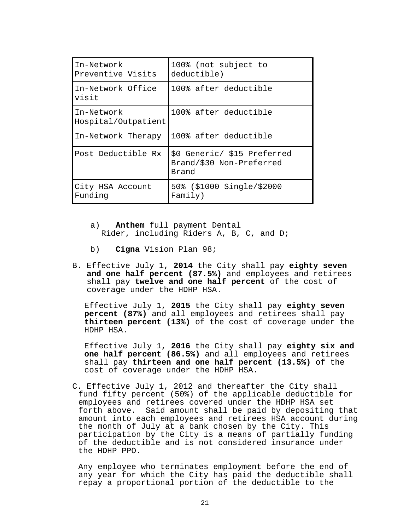| In-Network<br>Preventive Visits   | 100% (not subject to<br>deductible)                              |
|-----------------------------------|------------------------------------------------------------------|
| In-Network Office<br>visit        | 100% after deductible                                            |
| In-Network<br>Hospital/Outpatient | 100% after deductible                                            |
| In-Network Therapy                | 100% after deductible                                            |
| Post Deductible Rx                | \$0 Generic/ \$15 Preferred<br>Brand/\$30 Non-Preferred<br>Brand |
| City HSA Account<br>Funding       | 50% (\$1000 Single/\$2000<br>Family)                             |

- a) **Anthem** full payment Dental Rider, including Riders A, B, C, and D;
- b) **Cigna** Vision Plan 98;
- B. Effective July 1, **2014** the City shall pay **eighty seven and one half percent (87.5%)** and employees and retirees shall pay **twelve and one half percent** of the cost of coverage under the HDHP HSA.

Effective July 1, **2015** the City shall pay **eighty seven percent (87%)** and all employees and retirees shall pay **thirteen percent (13%)** of the cost of coverage under the HDHP HSA.

Effective July 1, **2016** the City shall pay **eighty six and one half percent (86.5%)** and all employees and retirees shall pay **thirteen and one half percent (13.5%)** of the cost of coverage under the HDHP HSA.

C. Effective July 1, 2012 and thereafter the City shall fund fifty percent (50%) of the applicable deductible for employees and retirees covered under the HDHP HSA set forth above. Said amount shall be paid by depositing that amount into each employees and retirees HSA account during the month of July at a bank chosen by the City. This participation by the City is a means of partially funding of the deductible and is not considered insurance under the HDHP PPO.

Any employee who terminates employment before the end of any year for which the City has paid the deductible shall repay a proportional portion of the deductible to the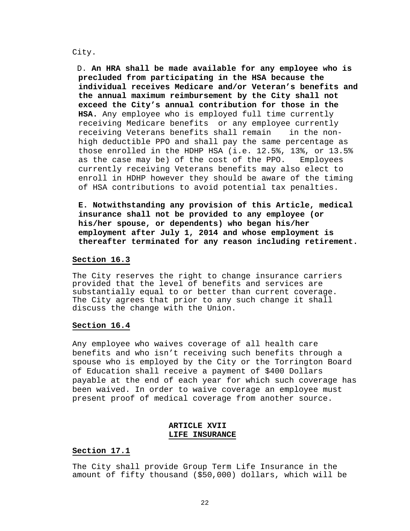#### City.

 D. **An HRA shall be made available for any employee who is precluded from participating in the HSA because the individual receives Medicare and/or Veteran's benefits and the annual maximum reimbursement by the City shall not exceed the City's annual contribution for those in the HSA.** Any employee who is employed full time currently receiving Medicare benefits or any employee currently receiving Veterans benefits shall remain in the nonhigh deductible PPO and shall pay the same percentage as those enrolled in the HDHP HSA (i.e. 12.5%, 13%, or 13.5%<br>as the case may be) of the cost of the PPO. Emplovees as the case may be) of the cost of the PPO. currently receiving Veterans benefits may also elect to enroll in HDHP however they should be aware of the timing of HSA contributions to avoid potential tax penalties.

**E. Notwithstanding any provision of this Article, medical insurance shall not be provided to any employee (or his/her spouse, or dependents) who began his/her employment after July 1, 2014 and whose employment is thereafter terminated for any reason including retirement.**

#### **Section 16.3**

The City reserves the right to change insurance carriers provided that the level of benefits and services are substantially equal to or better than current coverage. The City agrees that prior to any such change it shall discuss the change with the Union.

#### **Section 16.4**

Any employee who waives coverage of all health care benefits and who isn't receiving such benefits through a spouse who is employed by the City or the Torrington Board of Education shall receive a payment of \$400 Dollars payable at the end of each year for which such coverage has been waived. In order to waive coverage an employee must present proof of medical coverage from another source.

# **ARTICLE XVII LIFE INSURANCE**

#### **Section 17.1**

The City shall provide Group Term Life Insurance in the amount of fifty thousand (\$50,000) dollars, which will be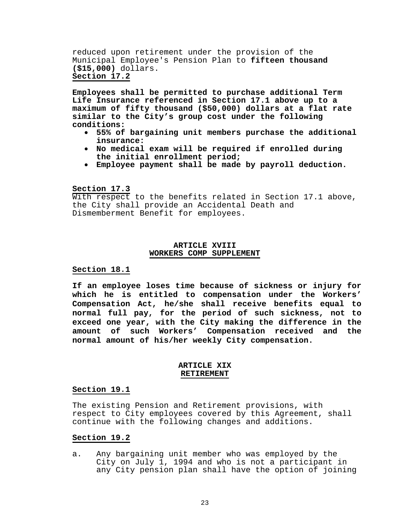reduced upon retirement under the provision of the Municipal Employee's Pension Plan to **fifteen thousand (\$15,000)** dollars. **Section 17.2**

**Employees shall be permitted to purchase additional Term Life Insurance referenced in Section 17.1 above up to a maximum of fifty thousand (\$50,000) dollars at a flat rate similar to the City's group cost under the following** 

- **conditions: 55% of bargaining unit members purchase the additional**
- No medical exam will be required if enrolled during the initial enrollment period;
- **the initial enrollment period; Employee payment shall be made by payroll deduction.**

#### **Section 17.3**

With respect to the benefits related in Section 17.1 above, the City shall provide an Accidental Death and Dismemberment Benefit for employees.

#### **ARTICLE XVIII WORKERS COMP SUPPLEMENT**

#### **Section 18.1**

**If an employee loses time because of sickness or injury for which he is entitled to compensation under the Workers' Compensation Act, he/she shall receive benefits equal to normal full pay, for the period of such sickness, not to exceed one year, with the City making the difference in the amount of such Workers' Compensation received and the normal amount of his/her weekly City compensation.**

#### **ARTICLE XIX RETIREMENT**

#### **Section 19.1**

The existing Pension and Retirement provisions, with respect to City employees covered by this Agreement, shall continue with the following changes and additions.

#### **Section 19.2**

a. Any bargaining unit member who was employed by the City on July 1, 1994 and who is not a participant in any City pension plan shall have the option of joining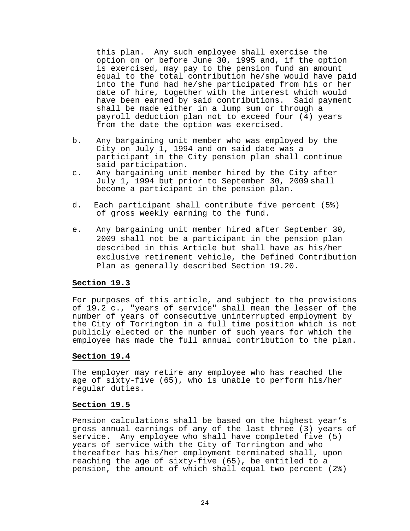this plan. Any such employee shall exercise the option on or before June 30, 1995 and, if the option is exercised, may pay to the pension fund an amount equal to the total contribution he/she would have paid into the fund had he/she participated from his or her date of hire, together with the interest which would have been earned by said contributions. Said payment shall be made either in a lump sum or through a payroll deduction plan not to exceed four (4) years from the date the option was exercised.

- b. Any bargaining unit member who was employed by the City on July 1, 1994 and on said date was a participant in the City pension plan shall continue said participation.
- c. Any bargaining unit member hired by the City after July 1, 1994 but prior to September 30, 2009 shall become a participant in the pension plan.
- d. Each participant shall contribute five percent (5%) of gross weekly earning to the fund.
- e. Any bargaining unit member hired after September 30, 2009 shall not be a participant in the pension plan described in this Article but shall have as his/her exclusive retirement vehicle, the Defined Contribution Plan as generally described Section 19.20.

#### **Section 19.3**

For purposes of this article, and subject to the provisions of 19.2 c., "years of service" shall mean the lesser of the number of years of consecutive uninterrupted employment by the City of Torrington in a full time position which is not publicly elected or the number of such years for which the employee has made the full annual contribution to the plan.

#### **Section 19.4**

The employer may retire any employee who has reached the age of sixty-five (65), who is unable to perform his/her regular duties.

#### **Section 19.5**

Pension calculations shall be based on the highest year's gross annual earnings of any of the last three (3) years of service**.** Any employee who shall have completed five (5) years of service with the City of Torrington and who thereafter has his/her employment terminated shall, upon reaching the age of sixty-five (65), be entitled to a pension, the amount of which shall equal two percent (2%)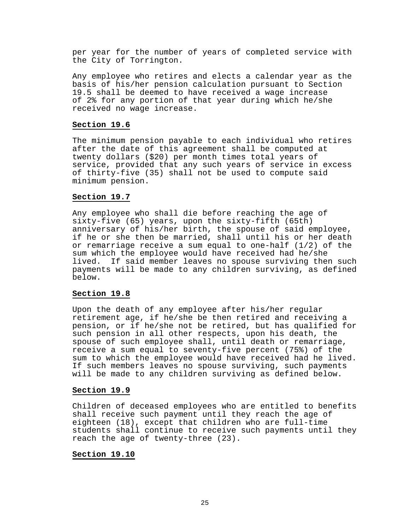per year for the number of years of completed service with the City of Torrington.

Any employee who retires and elects a calendar year as the basis of his/her pension calculation pursuant to Section<br>19.5 shall be deemed to have received a wage increase of 2% for any portion of that year during which he/she received no wage increase.

#### **Section 19.6**

The minimum pension payable to each individual who retires after the date of this agreement shall be computed at twenty dollars (\$20) per month times total years of service, provided that any such years of service in excess of thirty-five (35) shall not be used to compute said minimum pension.

# **Section 19.7**

Any employee who shall die before reaching the age of sixty-five (65) years, upon the sixty-fifth (65th) anniversary of his/her birth, the spouse of said employee, if he or she then be married, shall until his or her death or remarriage receive a sum equal to one-half  $(1/2)$  of the sum which the employee would have received had he/she lived. If said member leaves no spouse surviving then such payments will be made to any children surviving, as defined below.

#### **Section 19.8**

Upon the death of any employee after his/her regular retirement age, if he/she be then retired and receiving a pension, or if he/she not be retired, but has qualified for such pension in all other respects, upon his death, the spouse of such employee shall, until death or remarriage, receive a sum equal to seventy-five percent (75%) of the sum to which the employee would have received had he lived. If such members leaves no spouse surviving, such payments will be made to any children surviving as defined below.

#### **Section 19.9**

Children of deceased employees who are entitled to benefits shall receive such payment until they reach the age of eighteen (18), except that children who are full-time students shall continue to receive such payments until they reach the age of twenty-three (23).

#### **Section 19.10**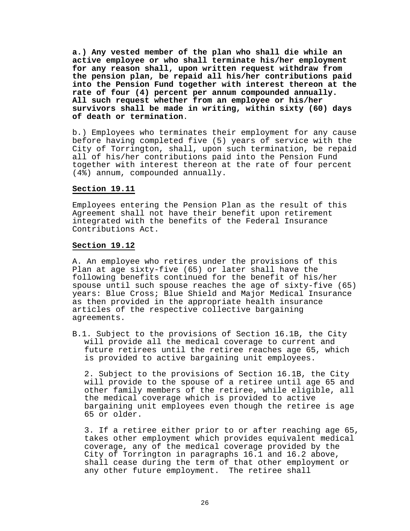**a.) Any vested member of the plan who shall die while an active employee or who shall terminate his/her employment for any reason shall, upon written request withdraw from the pension plan, be repaid all his/her contributions paid into the Pension Fund together with interest thereon at the rate of four (4) percent per annum compounded annually. All such request whether from an employee or his/her survivors shall be made in writing, within sixty (60) days** 

b.) Employees who terminates their employment for any cause before having completed five (5) years of service with the City of Torrington, shall, upon such termination, be repaid all of his/her contributions paid into the Pension Fund together with interest thereon at the rate of four percent (4%) annum, compounded annually.

#### **Section 19.11**

Employees entering the Pension Plan as the result of this Agreement shall not have their benefit upon retirement integrated with the benefits of the Federal Insurance Contributions Act.

#### **Section 19.12**

A. An employee who retires under the provisions of this Plan at age sixty-five (65) or later shall have the following benefits continued for the benefit of his/her spouse until such spouse reaches the age of sixty-five (65) years: Blue Cross; Blue Shield and Major Medical Insurance as then provided in the appropriate health insurance articles of the respective collective bargaining agreements.

B.1. Subject to the provisions of Section 16.1B, the Citywill provide all the medical coverage to current and future retirees until the retiree reaches age 65, which is provided to active bargaining unit employees.

2. Subject to the provisions of Section 16.1B, the City will provide to the spouse of a retiree until age 65 and other family members of the retiree, while eligible, all the medical coverage which is provided to active bargaining unit employees even though the retiree is age 65 or older.

3. If a retiree either prior to or after reaching age 65, takes other employment which provides equivalent medical coverage, any of the medical coverage provided by the City of Torrington in paragraphs 16.1 and 16.2 above, shall cease during the term of that other employment or any other future employment. The retiree shall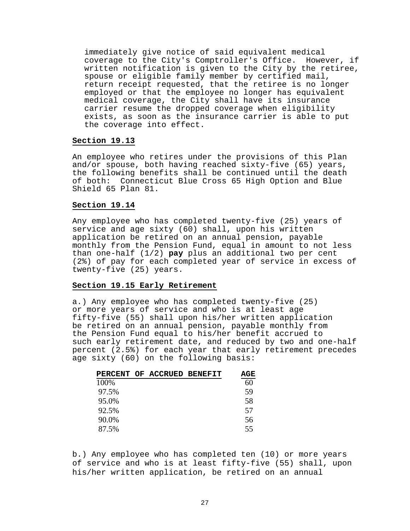immediately give notice of said equivalent medical coverage to the City's Comptroller's Office. However, if written notification is given to the City by the retiree, spouse or eligible family member by certified mail, return receipt requested, that the retiree is no longer employed or that the employee no longer has equivalent medical coverage, the City shall have its insurance carrier resume the dropped coverage when eligibility exists, as soon as the insurance carrier is able to put the coverage into effect.

#### **Section 19.13**

An employee who retires under the provisions of this Plan and/or spouse, both having reached sixty-five (65) years, the following benefits shall be continued until the death of both: Connecticut Blue Cross 65 High Option and Blue Shield 65 Plan 81.

#### **Section 19.14**

Any employee who has completed twenty-five (25) years of service and age sixty (60) shall, upon his written application be retired on an annual pension, payable monthly from the Pension Fund, equal in amount to not less than one-half (1/2) **pay** plus an additional two per cent (2%) of pay for each completed year of service in excess of twenty-five (25) years.

# **Section 19.15 Early Retirement**

a.) Any employee who has completed twenty-five (25) or more years of service and who is at least age fifty-five (55) shall upon his/her written application be retired on an annual pension, payable monthly from the Pension Fund equal to his/her benefit accrued to such early retirement date, and reduced by two and one-half percent (2.5%) for each year that early retirement precedes age sixty (60) on the following basis:

|       | PERCENT OF ACCRUED BENEFIT | AGE |
|-------|----------------------------|-----|
| 100%  |                            | 60  |
| 97.5% |                            | 59  |
| 95.0% |                            | 58  |
| 92.5% |                            | 57  |
| 90.0% |                            | 56  |
| 87.5% |                            | 55  |

b.) Any employee who has completed ten (10) or more years of service and who is at least fifty-five (55) shall, upon his/her written application, be retired on an annual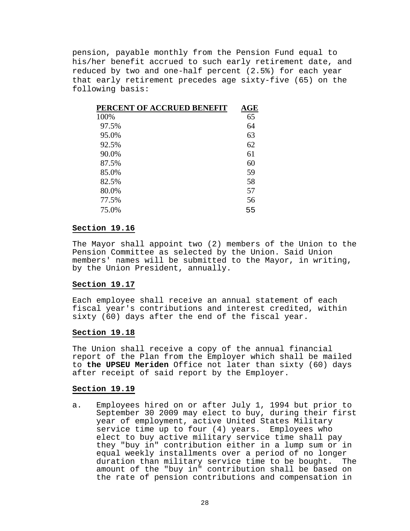pension, payable monthly from the Pension Fund equal to his/her benefit accrued to such early retirement date, and reduced by two and one-half percent (2.5%) for each year that early retirement precedes age sixty-five (65) on the following basis:

| PERCENT OF ACCRUED BENEFIT | $\mathbf{AGE}$ |
|----------------------------|----------------|
| 100%                       | 65             |
| 97.5%                      | 64             |
| 95.0%                      | 63             |
| 92.5%                      | 62             |
| 90.0%                      | 61             |
| 87.5%                      | 60             |
| 85.0%                      | 59             |
| 82.5%                      | 58             |
| 80.0%                      | 57             |
| 77.5%                      | 56             |
| 75.0%                      | 55             |

#### **Section 19.16**

The Mayor shall appoint two (2) members of the Union to the Pension Committee as selected by the Union. Said Union members' names will be submitted to the Mayor, in writing, by the Union President, annually.

#### **Section 19.17**

Each employee shall receive an annual statement of each fiscal year's contributions and interest credited, within sixty (60) days after the end of the fiscal year. **Section 19.18**

The Union shall receive a copy of the annual financial report of the Plan from the Employer which shall be mailed to **the UPSEU Meriden** Office not later than sixty (60) days after receipt of said report by the Employer.

#### **Section 19.19**

a. Employees hired on or after July 1, 1994 but prior to September 30 2009 may elect to buy, during their first year of employment, active United States Military service time up to four (4) years. Employees who elect to buy active military service time shall pay they "buy in" contribution either in a lump sum or in equal weekly installments over a period of no longer<br>duration than military service time to be bought. The duration than military service time to be bought. amount of the "buy in" contribution shall be based on the rate of pension contributions and compensation in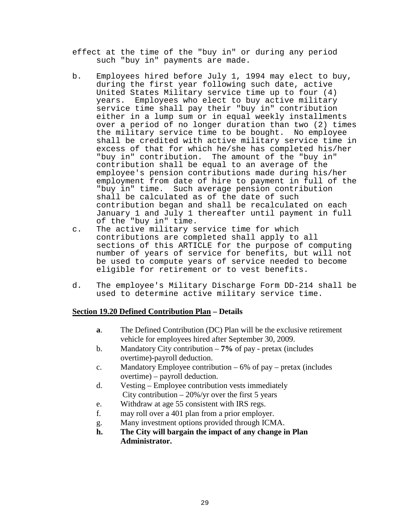effect at the time of the "buy in" or during any period such "buy in" payments are made.

- b. Employees hired before July 1, 1994 may elect to buy, during the first year following such date, active United States Military service time up to four (4) years. Employees who elect to buy active military service time shall pay their "buy in" contribution either in a lump sum or in equal weekly installments over a period of no longer duration than two (2) times the military service time to be bought. No employee shall be credited with active military service time in excess of that for which he/she has completed his/her<br>"buy in" contribution. The amount of the "buy in" The amount of the "buy in" contribution shall be equal to an average of the employee's pension contributions made during his/her employment from date of hire to payment in full of the "buy in" time. Such average pension contribution shall be calculated as of the date of such contribution began and shall be recalculated on each January 1 and July 1 thereafter until payment in full of the "buy in" time.
- c. The active military service time for which contributions are completed shall apply to all sections of this ARTICLE for the purpose of computing number of years of service for benefits, but will not be used to compute years of service needed to become eligible for retirement or to vest benefits.
- d. The employee's Military Discharge Form DD-214 shall be used to determine active military service time.

# **Section 19.20 Defined Contribution Plan – Details**

- **a**. The Defined Contribution (DC) Plan will be the exclusive retirement vehicle for employees hired after September 30, 2009.
- b. Mandatory City contribution **7%** of pay pretax (includes overtime)-payroll deduction.
- c. Mandatory Employee contribution 6% of pay pretax (includes overtime) – payroll deduction.
- d. Vesting Employee contribution vests immediately City contribution  $-20\%$ /yr over the first 5 years
- e. Withdraw at age 55 consistent with IRS regs.
- f. may roll over a 401 plan from a prior employer.
- g. Many investment options provided through ICMA.
- **h. The City will bargain the impact of any change in Plan Administrator.**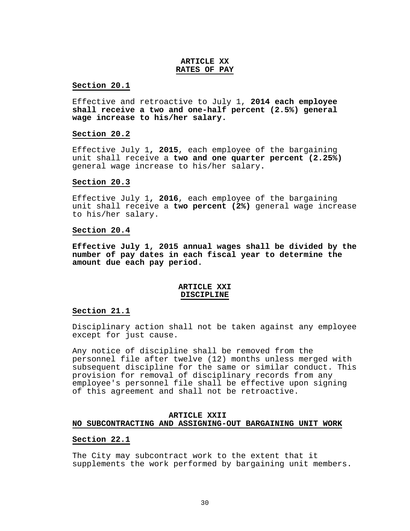#### **ARTICLE XX RATES OF PAY**

#### **Section 20.1**

Effective and retroactive to July 1, **2014 each employee shall receive a two and one-half percent (2.5%) general wage increase to his/her salary.**

#### **Section 20.2**

Effective July 1**, 2015**, each employee of the bargaining unit shall receive a **two and one quarter percent (2.25%)** general wage increase to his/her salary**.**

#### **Section 20.3**

Effective July 1**, 2016**, each employee of the bargaining unit shall receive a **two percent (2%)** general wage increase to his/her salary.

#### **Section 20.4**

**Effective July 1, 2015 annual wages shall be divided by the number of pay dates in each fiscal year to determine the amount due each pay period.**

#### **ARTICLE XXI DISCIPLINE**

#### **Section 21.1**

Disciplinary action shall not be taken against any employee except for just cause.

Any notice of discipline shall be removed from the personnel file after twelve (12) months unless merged with subsequent discipline for the same or similar conduct. This provision for removal of disciplinary records from any employee's personnel file shall be effective upon signing of this agreement and shall not be retroactive.

#### **ARTICLE XXIINO SUBCONTRACTING AND ASSIGNING-OUT BARGAINING UNIT WORK**

#### **Section 22.1**

The City may subcontract work to the extent that it supplements the work performed by bargaining unit members.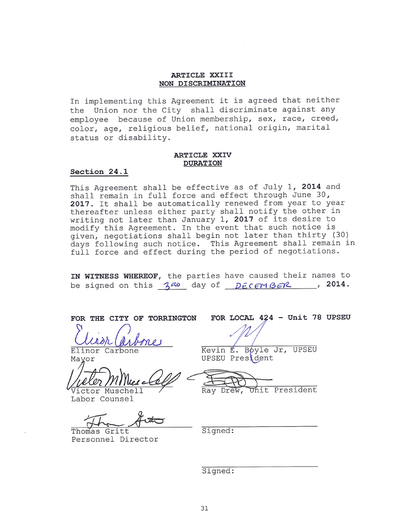#### ARTICLE XXIII NON DISCRIMINATION

In implementing this Agreement it is agreed that neither the Union nor the City shall discriminate against any employee because of Union membership, sex, race, creed, color, age, religious belief, national origin, marital status or disability.

#### ARTICLE XXIV **DURATION**

#### Section 24.1

This Agreement shall be effective as of July 1, 2014 and shall remain in full force and effect through June 30, 2017. It shall be automatically renewed from year to year thereafter unless either party shall notify the other in writing not later than January 1, 2017 of its desire to modify this Agreement. In the event that such notice is given, negotiations shall begin not later than thirty (30) days following such notice. This Agreement shall remain in full force and effect during the period of negotiations.

IN WITNESS WHEREOF, the parties have caused their names to be signed on this  $3^{80}$  day of  $DECENBER$ , 2014.

FOR THE CITY OF TORRINGTON

Elinor Carbone Mayor

Tictor Musche

Labor Counsel

Thomas Gritt Personnel Director

FOR LOCAL 424 - Unit 78 UPSEU

Kevin E. Boyle Jr, UPSEU UPSEU President

Unit President Ray Drew,

Signed:

Signed: